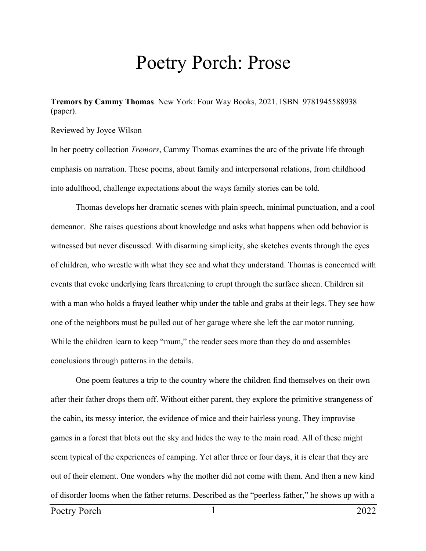## Poetry Porch: Prose

**Tremors by Cammy Thomas**. New York: Four Way Books, 2021. ISBN 9781945588938 (paper).

## Reviewed by Joyce Wilson

In her poetry collection *Tremors*, Cammy Thomas examines the arc of the private life through emphasis on narration. These poems, about family and interpersonal relations, from childhood into adulthood, challenge expectations about the ways family stories can be told.

Thomas develops her dramatic scenes with plain speech, minimal punctuation, and a cool demeanor. She raises questions about knowledge and asks what happens when odd behavior is witnessed but never discussed. With disarming simplicity, she sketches events through the eyes of children, who wrestle with what they see and what they understand. Thomas is concerned with events that evoke underlying fears threatening to erupt through the surface sheen. Children sit with a man who holds a frayed leather whip under the table and grabs at their legs. They see how one of the neighbors must be pulled out of her garage where she left the car motor running. While the children learn to keep "mum," the reader sees more than they do and assembles conclusions through patterns in the details.

One poem features a trip to the country where the children find themselves on their own after their father drops them off. Without either parent, they explore the primitive strangeness of the cabin, its messy interior, the evidence of mice and their hairless young. They improvise games in a forest that blots out the sky and hides the way to the main road. All of these might seem typical of the experiences of camping. Yet after three or four days, it is clear that they are out of their element. One wonders why the mother did not come with them. And then a new kind of disorder looms when the father returns. Described as the "peerless father," he shows up with a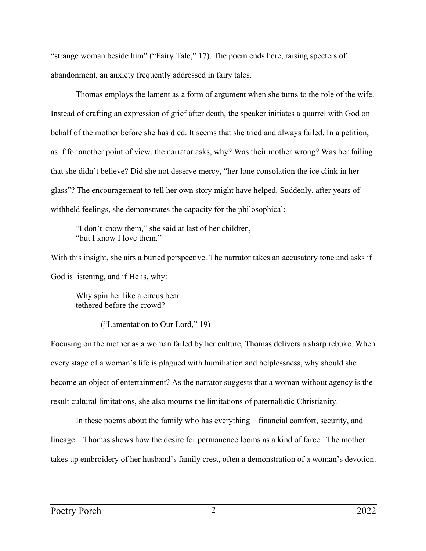"strange woman beside him" ("Fairy Tale," 17). The poem ends here, raising specters of abandonment, an anxiety frequently addressed in fairy tales.

Thomas employs the lament as a form of argument when she turns to the role of the wife. Instead of crafting an expression of grief after death, the speaker initiates a quarrel with God on behalf of the mother before she has died. It seems that she tried and always failed. In a petition, as if for another point of view, the narrator asks, why? Was their mother wrong? Was her failing that she didn't believe? Did she not deserve mercy, "her lone consolation the ice clink in her glass"? The encouragement to tell her own story might have helped. Suddenly, after years of withheld feelings, she demonstrates the capacity for the philosophical:

"I don't know them," she said at last of her children, "but I know I love them."

With this insight, she airs a buried perspective. The narrator takes an accusatory tone and asks if God is listening, and if He is, why:

Why spin her like a circus bear tethered before the crowd?

("Lamentation to Our Lord," 19)

Focusing on the mother as a woman failed by her culture, Thomas delivers a sharp rebuke. When every stage of a woman's life is plagued with humiliation and helplessness, why should she become an object of entertainment? As the narrator suggests that a woman without agency is the result cultural limitations, she also mourns the limitations of paternalistic Christianity.

In these poems about the family who has everything––financial comfort, security, and lineage––Thomas shows how the desire for permanence looms as a kind of farce. The mother takes up embroidery of her husband's family crest, often a demonstration of a woman's devotion.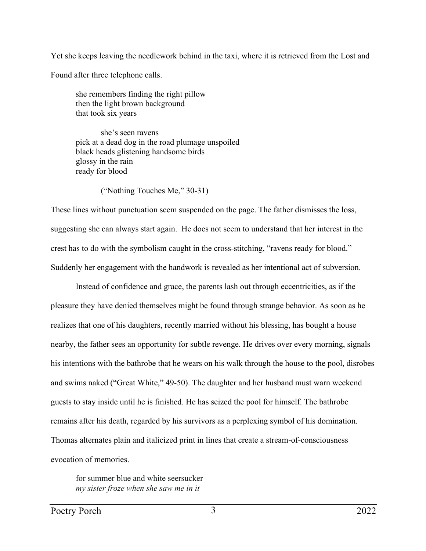Yet she keeps leaving the needlework behind in the taxi, where it is retrieved from the Lost and

Found after three telephone calls.

she remembers finding the right pillow then the light brown background that took six years

she's seen ravens pick at a dead dog in the road plumage unspoiled black heads glistening handsome birds glossy in the rain ready for blood

("Nothing Touches Me," 30-31)

These lines without punctuation seem suspended on the page. The father dismisses the loss, suggesting she can always start again. He does not seem to understand that her interest in the crest has to do with the symbolism caught in the cross-stitching, "ravens ready for blood." Suddenly her engagement with the handwork is revealed as her intentional act of subversion.

Instead of confidence and grace, the parents lash out through eccentricities, as if the pleasure they have denied themselves might be found through strange behavior. As soon as he realizes that one of his daughters, recently married without his blessing, has bought a house nearby, the father sees an opportunity for subtle revenge. He drives over every morning, signals his intentions with the bathrobe that he wears on his walk through the house to the pool, disrobes and swims naked ("Great White," 49-50). The daughter and her husband must warn weekend guests to stay inside until he is finished. He has seized the pool for himself. The bathrobe remains after his death, regarded by his survivors as a perplexing symbol of his domination. Thomas alternates plain and italicized print in lines that create a stream-of-consciousness evocation of memories.

for summer blue and white seersucker *my sister froze when she saw me in it*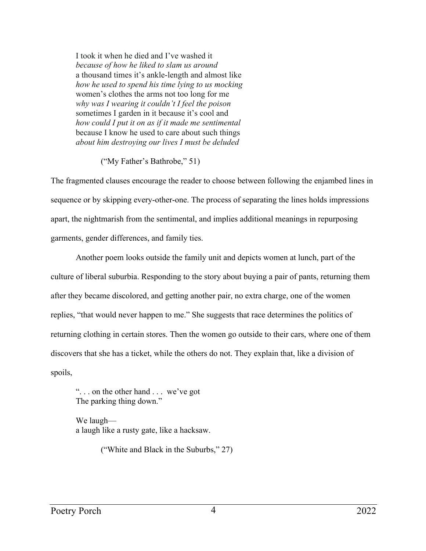I took it when he died and I've washed it *because of how he liked to slam us around*  a thousand times it's ankle-length and almost like *how he used to spend his time lying to us mocking*  women's clothes the arms not too long for me *why was I wearing it couldn't I feel the poison*  sometimes I garden in it because it's cool and *how could I put it on as if it made me sentimental*  because I know he used to care about such things *about him destroying our lives I must be deluded* 

## ("My Father's Bathrobe," 51)

The fragmented clauses encourage the reader to choose between following the enjambed lines in sequence or by skipping every-other-one. The process of separating the lines holds impressions apart, the nightmarish from the sentimental, and implies additional meanings in repurposing garments, gender differences, and family ties.

Another poem looks outside the family unit and depicts women at lunch, part of the culture of liberal suburbia. Responding to the story about buying a pair of pants, returning them after they became discolored, and getting another pair, no extra charge, one of the women replies, "that would never happen to me." She suggests that race determines the politics of returning clothing in certain stores. Then the women go outside to their cars, where one of them discovers that she has a ticket, while the others do not. They explain that, like a division of spoils,

". . . on the other hand . . . we've got The parking thing down."

We laugh a laugh like a rusty gate, like a hacksaw.

("White and Black in the Suburbs," 27)